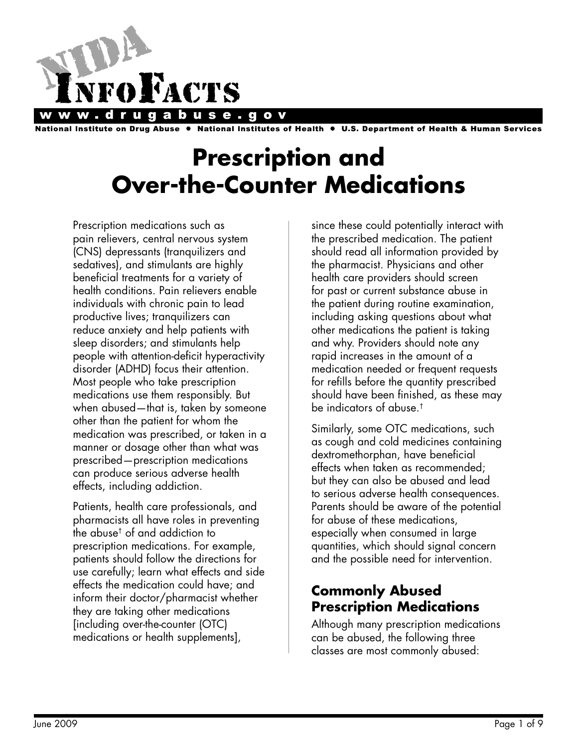

National Institute on Drug Abuse · National Institutes of Health · U.S. Department of Health & Human Services

# **Prescription and Over-the-Counter Medications**

Prescription medications such as pain relievers, central nervous system (CNS) depressants (tranquilizers and sedatives), and stimulants are highly beneficial treatments for a variety of health conditions. Pain relievers enable individuals with chronic pain to lead productive lives; tranquilizers can reduce anxiety and help patients with sleep disorders; and stimulants help people with attention-deficit hyperactivity disorder (ADHD) focus their attention. Most people who take prescription medications use them responsibly. But when abused—that is, taken by someone other than the patient for whom the medication was prescribed, or taken in a manner or dosage other than what was prescribed—prescription medications can produce serious adverse health effects, including addiction.

Patients, health care professionals, and pharmacists all have roles in preventing the abuse† of and addiction to prescription medications. For example, patients should follow the directions for use carefully; learn what effects and side effects the medication could have; and inform their doctor/pharmacist whether they are taking other medications [including over-the-counter (OTC) medications or health supplements],

since these could potentially interact with the prescribed medication. The patient should read all information provided by the pharmacist. Physicians and other health care providers should screen for past or current substance abuse in the patient during routine examination, including asking questions about what other medications the patient is taking and why. Providers should note any rapid increases in the amount of a medication needed or frequent requests for refills before the quantity prescribed should have been finished, as these may be indicators of abuse.†

Similarly, some OTC medications, such as cough and cold medicines containing dextromethorphan, have beneficial effects when taken as recommended; but they can also be abused and lead to serious adverse health consequences. Parents should be aware of the potential for abuse of these medications, especially when consumed in large quantities, which should signal concern and the possible need for intervention.

## **Commonly Abused Prescription Medications**

Although many prescription medications can be abused, the following three classes are most commonly abused: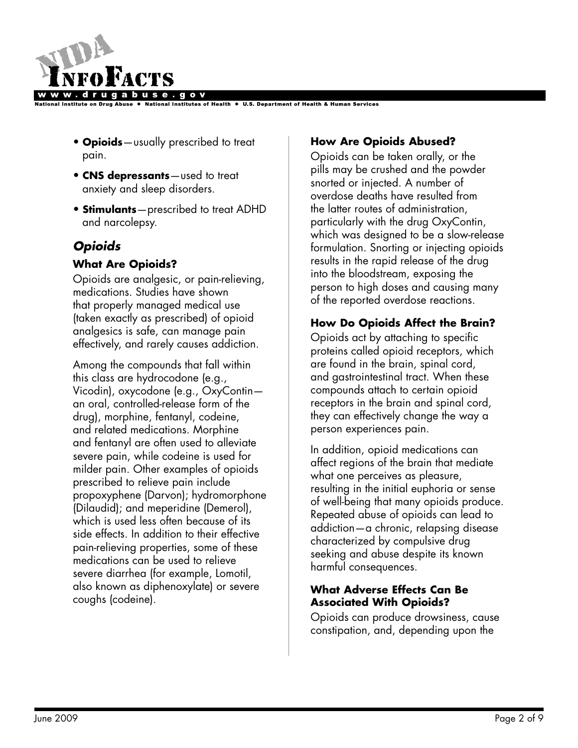

al Institute on Drug Abuse ● National Institutes of Health ● U.S. Department of Health & Human Services

- **Opioids**—usually prescribed to treat pain.
- **CNS depressants** used to treat anxiety and sleep disorders.
- **Stimulants**—prescribed to treat ADHD and narcolepsy.

## *Opioids*

#### **What Are Opioids?**

Opioids are analgesic, or pain-relieving, medications. Studies have shown that properly managed medical use (taken exactly as prescribed) of opioid analgesics is safe, can manage pain effectively, and rarely causes addiction.

Among the compounds that fall within this class are hydrocodone (e.g., Vicodin), oxycodone (e.g., OxyContin an oral, controlled-release form of the drug), morphine, fentanyl, codeine, and related medications. Morphine and fentanyl are often used to alleviate severe pain, while codeine is used for milder pain. Other examples of opioids prescribed to relieve pain include propoxyphene (Darvon); hydromorphone (Dilaudid); and meperidine (Demerol), which is used less often because of its side effects. In addition to their effective pain-relieving properties, some of these medications can be used to relieve severe diarrhea (for example, Lomotil, also known as diphenoxylate) or severe coughs (codeine).

#### **How Are Opioids Abused?**

Opioids can be taken orally, or the pills may be crushed and the powder snorted or injected. A number of overdose deaths have resulted from the latter routes of administration, particularly with the drug OxyContin, which was designed to be a slow-release formulation. Snorting or injecting opioids results in the rapid release of the drug into the bloodstream, exposing the person to high doses and causing many of the reported overdose reactions.

#### **How Do Opioids Affect the Brain?**

Opioids act by attaching to specific proteins called opioid receptors, which are found in the brain, spinal cord, and gastrointestinal tract. When these compounds attach to certain opioid receptors in the brain and spinal cord, they can effectively change the way a person experiences pain.

In addition, opioid medications can affect regions of the brain that mediate what one perceives as pleasure, resulting in the initial euphoria or sense of well-being that many opioids produce. Repeated abuse of opioids can lead to addiction—a chronic, relapsing disease characterized by compulsive drug seeking and abuse despite its known harmful consequences.

#### **What Adverse Effects Can Be Associated With Opioids?**

Opioids can produce drowsiness, cause constipation, and, depending upon the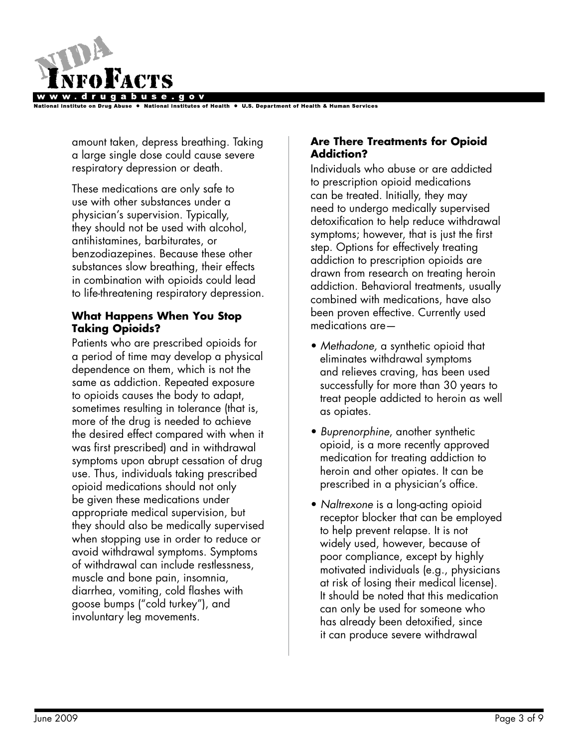

ational Institute on Drug Abuse · National Institutes of Health · U.S. Department of Health & Human Services

amount taken, depress breathing. Taking a large single dose could cause severe respiratory depression or death.

These medications are only safe to use with other substances under a physician's supervision. Typically, they should not be used with alcohol, antihistamines, barbiturates, or benzodiazepines. Because these other substances slow breathing, their effects in combination with opioids could lead to life-threatening respiratory depression.

#### **What Happens When You Stop Taking Opioids?**

Patients who are prescribed opioids for a period of time may develop a physical dependence on them, which is not the same as addiction. Repeated exposure to opioids causes the body to adapt, sometimes resulting in tolerance (that is, more of the drug is needed to achieve the desired effect compared with when it was first prescribed) and in withdrawal symptoms upon abrupt cessation of drug use. Thus, individuals taking prescribed opioid medications should not only be given these medications under appropriate medical supervision, but they should also be medically supervised when stopping use in order to reduce or avoid withdrawal symptoms. Symptoms of withdrawal can include restlessness, muscle and bone pain, insomnia, diarrhea, vomiting, cold flashes with goose bumps ("cold turkey"), and involuntary leg movements.

#### **Are There Treatments for Opioid Addiction?**

Individuals who abuse or are addicted to prescription opioid medications can be treated. Initially, they may need to undergo medically supervised detoxification to help reduce withdrawal symptoms; however, that is just the first step. Options for effectively treating addiction to prescription opioids are drawn from research on treating heroin addiction. Behavioral treatments, usually combined with medications, have also been proven effective. Currently used medications are—

- *Methadone,* a synthetic opioid that eliminates withdrawal symptoms and relieves craving, has been used successfully for more than 30 years to treat people addicted to heroin as well as opiates.
- *Buprenorphine*, another synthetic opioid, is a more recently approved medication for treating addiction to heroin and other opiates. It can be prescribed in a physician's office.
- *Naltrexone* is a long-acting opioid receptor blocker that can be employed to help prevent relapse. It is not widely used, however, because of poor compliance, except by highly motivated individuals (e.g., physicians at risk of losing their medical license). It should be noted that this medication can only be used for someone who has already been detoxified, since it can produce severe withdrawal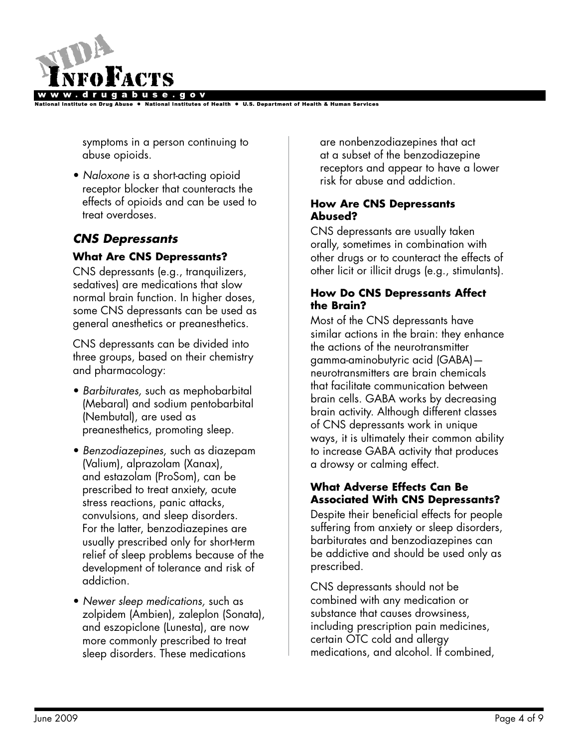

ational Institute on Drug Abuse ● National Institutes of Health ● U.S. Department of Health & Human Services

symptoms in a person continuing to abuse opioids.

• *Naloxone* is a short-acting opioid receptor blocker that counteracts the effects of opioids and can be used to treat overdoses.

## *CNS Depressants*

#### **What Are CNS Depressants?**

CNS depressants (e.g., tranquilizers, sedatives) are medications that slow normal brain function. In higher doses, some CNS depressants can be used as general anesthetics or preanesthetics.

CNS depressants can be divided into three groups, based on their chemistry and pharmacology:

- *Barbiturates,* such as mephobarbital (Mebaral) and sodium pentobarbital (Nembutal), are used as preanesthetics, promoting sleep.
- *Benzodiazepines,* such as diazepam (Valium), alprazolam (Xanax), and estazolam (ProSom), can be prescribed to treat anxiety, acute stress reactions, panic attacks, convulsions, and sleep disorders. For the latter, benzodiazepines are usually prescribed only for short-term relief of sleep problems because of the development of tolerance and risk of addiction.
- *Newer sleep medications,* such as zolpidem (Ambien), zaleplon (Sonata), and eszopiclone (Lunesta), are now more commonly prescribed to treat sleep disorders. These medications

are nonbenzodiazepines that act at a subset of the benzodiazepine receptors and appear to have a lower risk for abuse and addiction.

#### **How Are CNS Depressants Abused?**

CNS depressants are usually taken orally, sometimes in combination with other drugs or to counteract the effects of other licit or illicit drugs (e.g., stimulants).

#### **How Do CNS Depressants Affect the Brain?**

Most of the CNS depressants have similar actions in the brain: they enhance the actions of the neurotransmitter gamma-aminobutyric acid (GABA) neurotransmitters are brain chemicals that facilitate communication between brain cells. GABA works by decreasing brain activity. Although different classes of CNS depressants work in unique ways, it is ultimately their common ability to increase GABA activity that produces a drowsy or calming effect.

#### **What Adverse Effects Can Be Associated With CNS Depressants?**

Despite their beneficial effects for people suffering from anxiety or sleep disorders, barbiturates and benzodiazepines can be addictive and should be used only as prescribed.

CNS depressants should not be combined with any medication or substance that causes drowsiness, including prescription pain medicines, certain OTC cold and allergy medications, and alcohol. If combined,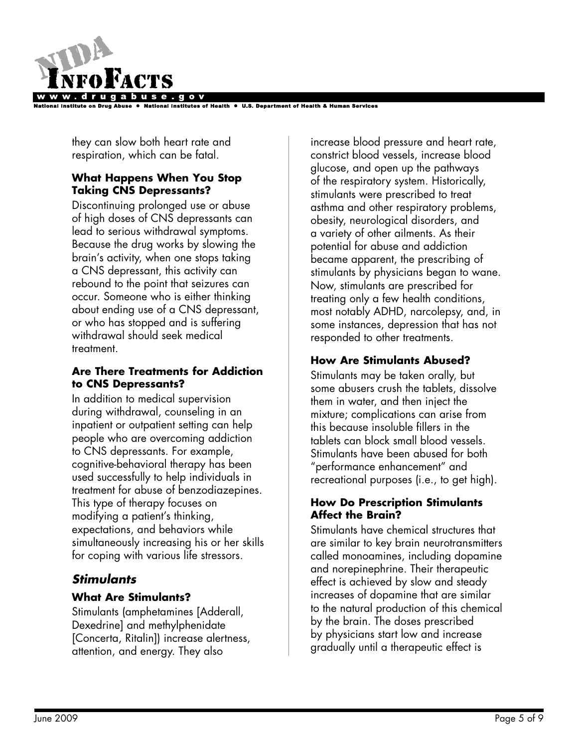

ational Institute on Drug Abuse ● National Institutes of Health ● U.S. Department of Health & Human Services

they can slow both heart rate and respiration, which can be fatal.

#### **What Happens When You Stop Taking CNS Depressants?**

Discontinuing prolonged use or abuse of high doses of CNS depressants can lead to serious withdrawal symptoms. Because the drug works by slowing the brain's activity, when one stops taking a CNS depressant, this activity can rebound to the point that seizures can occur. Someone who is either thinking about ending use of a CNS depressant, or who has stopped and is suffering withdrawal should seek medical treatment.

#### **Are There Treatments for Addiction to CNS Depressants?**

In addition to medical supervision during withdrawal, counseling in an inpatient or outpatient setting can help people who are overcoming addiction to CNS depressants. For example, cognitive-behavioral therapy has been used successfully to help individuals in treatment for abuse of benzodiazepines. This type of therapy focuses on modifying a patient's thinking, expectations, and behaviors while simultaneously increasing his or her skills for coping with various life stressors.

## *Stimulants*

#### **What Are Stimulants?**

Stimulants (amphetamines [Adderall, Dexedrine] and methylphenidate [Concerta, Ritalin]) increase alertness, attention, and energy. They also

increase blood pressure and heart rate, constrict blood vessels, increase blood glucose, and open up the pathways of the respiratory system. Historically, stimulants were prescribed to treat asthma and other respiratory problems, obesity, neurological disorders, and a variety of other ailments. As their potential for abuse and addiction became apparent, the prescribing of stimulants by physicians began to wane. Now, stimulants are prescribed for treating only a few health conditions, most notably ADHD, narcolepsy, and, in some instances, depression that has not responded to other treatments.

#### **How Are Stimulants Abused?**

Stimulants may be taken orally, but some abusers crush the tablets, dissolve them in water, and then inject the mixture; complications can arise from this because insoluble fillers in the tablets can block small blood vessels. Stimulants have been abused for both "performance enhancement" and recreational purposes (i.e., to get high).

#### **How Do Prescription Stimulants Affect the Brain?**

Stimulants have chemical structures that are similar to key brain neurotransmitters called monoamines, including dopamine and norepinephrine. Their therapeutic effect is achieved by slow and steady increases of dopamine that are similar to the natural production of this chemical by the brain. The doses prescribed by physicians start low and increase gradually until a therapeutic effect is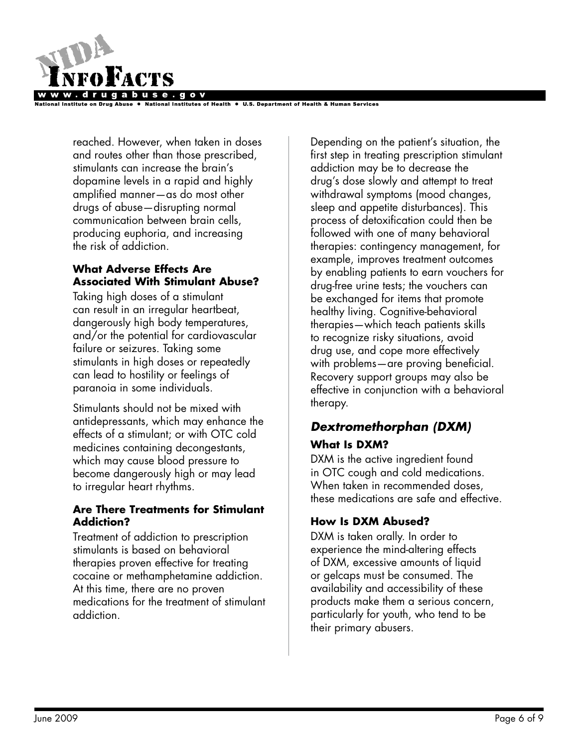

• National Institutes of Health • U.S. Department of Health & Human Services

reached. However, when taken in doses and routes other than those prescribed, stimulants can increase the brain's dopamine levels in a rapid and highly amplified manner—as do most other drugs of abuse—disrupting normal communication between brain cells, producing euphoria, and increasing the risk of addiction.

#### **What Adverse Effects Are Associated With Stimulant Abuse?**

Taking high doses of a stimulant can result in an irregular heartbeat, dangerously high body temperatures, and/or the potential for cardiovascular failure or seizures. Taking some stimulants in high doses or repeatedly can lead to hostility or feelings of paranoia in some individuals.

Stimulants should not be mixed with antidepressants, which may enhance the effects of a stimulant; or with OTC cold medicines containing decongestants, which may cause blood pressure to become dangerously high or may lead to irregular heart rhythms.

#### **Are There Treatments for Stimulant Addiction?**

Treatment of addiction to prescription stimulants is based on behavioral therapies proven effective for treating cocaine or methamphetamine addiction. At this time, there are no proven medications for the treatment of stimulant addiction.

Depending on the patient's situation, the first step in treating prescription stimulant addiction may be to decrease the drug's dose slowly and attempt to treat withdrawal symptoms (mood changes, sleep and appetite disturbances). This process of detoxification could then be followed with one of many behavioral therapies: contingency management, for example, improves treatment outcomes by enabling patients to earn vouchers for drug-free urine tests; the vouchers can be exchanged for items that promote healthy living. Cognitive-behavioral therapies—which teach patients skills to recognize risky situations, avoid drug use, and cope more effectively with problems—are proving beneficial. Recovery support groups may also be effective in conjunction with a behavioral therapy.

## *Dextromethorphan (DXM)* **What Is DXM?**

DXM is the active ingredient found in OTC cough and cold medications. When taken in recommended doses, these medications are safe and effective.

#### **How Is DXM Abused?**

DXM is taken orally. In order to experience the mind-altering effects of DXM, excessive amounts of liquid or gelcaps must be consumed. The availability and accessibility of these products make them a serious concern, particularly for youth, who tend to be their primary abusers.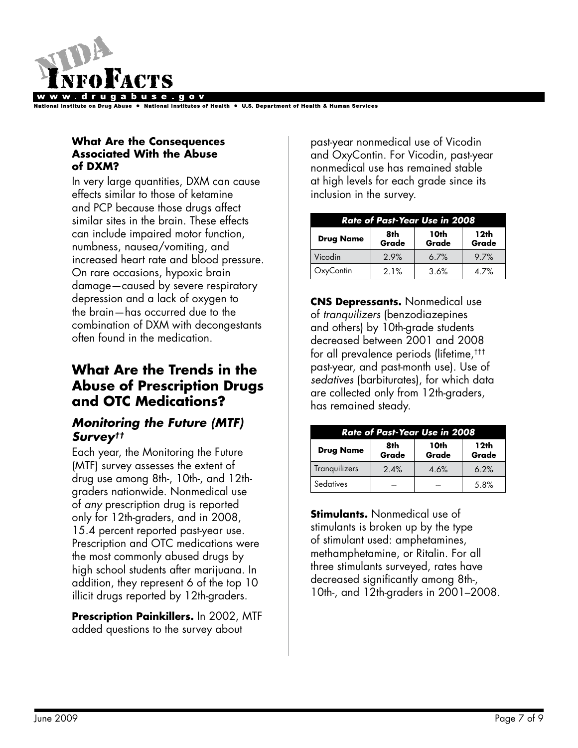

lational Institute on Drug Abuse ● National Institutes of Health ● U.S. Department of Health & Human Services

#### **What Are the Consequences Associated With the Abuse of DXM?**

In very large quantities, DXM can cause effects similar to those of ketamine and PCP because those drugs affect similar sites in the brain. These effects can include impaired motor function, numbness, nausea/vomiting, and increased heart rate and blood pressure. On rare occasions, hypoxic brain damage—caused by severe respiratory depression and a lack of oxygen to the brain—has occurred due to the combination of DXM with decongestants often found in the medication.

## **What Are the Trends in the Abuse of Prescription Drugs and OTC Medications?**

#### *Monitoring the Future (MTF) Survey††*

Each year, the Monitoring the Future (MTF) survey assesses the extent of drug use among 8th-, 10th-, and 12thgraders nationwide. Nonmedical use of *any* prescription drug is reported only for 12th-graders, and in 2008, 15.4 percent reported past-year use. Prescription and OTC medications were the most commonly abused drugs by high school students after marijuana. In addition, they represent 6 of the top 10 illicit drugs reported by 12th-graders.

**Prescription Painkillers.** In 2002, MTF added questions to the survey about

past-year nonmedical use of Vicodin and OxyContin. For Vicodin, past-year nonmedical use has remained stable at high levels for each grade since its inclusion in the survey.

| Rate of Past-Year Use in 2008 |              |               |               |  |
|-------------------------------|--------------|---------------|---------------|--|
| <b>Drug Name</b>              | 8th<br>Grade | 10th<br>Grade | 12th<br>Grade |  |
| Vicodin                       | 2.9%         | 6.7%          | 9.7%          |  |
| OxyContin                     | 2.1%         | 3.6%          | 4.7%          |  |

**CNS Depressants.** Nonmedical use of *tranquilizers* (benzodiazepines and others) by 10th-grade students decreased between 2001 and 2008 for all prevalence periods (lifetime,††† past-year, and past-month use). Use of *sedatives* (barbiturates), for which data are collected only from 12th-graders, has remained steady.

| Rate of Past-Year Use in 2008 |              |               |               |  |  |
|-------------------------------|--------------|---------------|---------------|--|--|
| <b>Drug Name</b>              | 8th<br>Grade | 10th<br>Grade | 12th<br>Grade |  |  |
| Tranquilizers                 | 2.4%         | 4.6%          | 6.2%          |  |  |
| Sedatives                     |              |               | 5.8%          |  |  |

**Stimulants.** Nonmedical use of stimulants is broken up by the type of stimulant used: amphetamines, methamphetamine, or Ritalin. For all three stimulants surveyed, rates have decreased significantly among 8th-, 10th-, and 12th-graders in 2001–2008.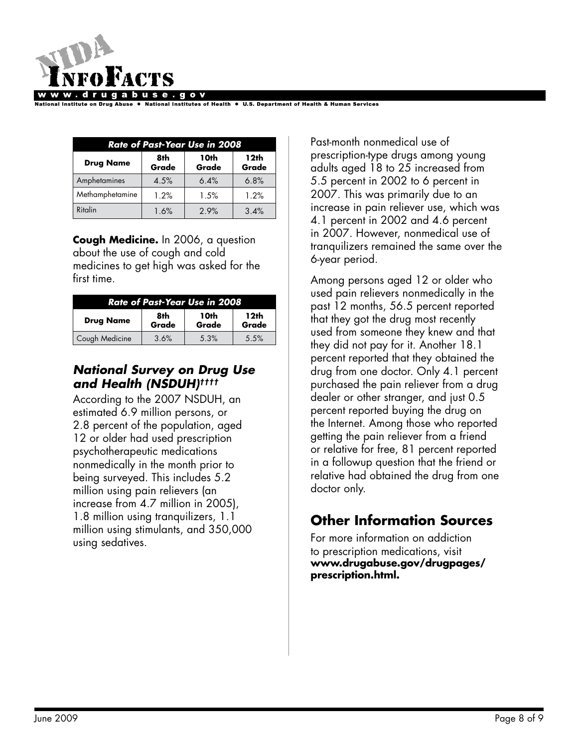

• National Institutes of Health • U.S. Department of Health & Human Services

| <b>Rate of Past-Year Use in 2008</b> |              |               |               |  |  |
|--------------------------------------|--------------|---------------|---------------|--|--|
| <b>Drug Name</b>                     | 8th<br>Grade | 10th<br>Grade | 12th<br>Grade |  |  |
| Amphetamines                         | 4.5%         | 6.4%          | 6.8%          |  |  |
| Methamphetamine                      | 1.2%         | 1.5%          | 1.2%          |  |  |
| Ritalin                              | 1.6%         | 2.9%          | 3.4%          |  |  |

**Cough Medicine.** In 2006, a question about the use of cough and cold medicines to get high was asked for the first time.

| Rate of Past-Year Use in 2008 |              |               |               |  |  |
|-------------------------------|--------------|---------------|---------------|--|--|
| <b>Drug Name</b>              | 8th<br>Grade | 10th<br>Grade | 12th<br>Grade |  |  |
| Cough Medicine                | 3.6%         | 5.3%          | 5.5%          |  |  |

## *National Survey on Drug Use and Health (NSDUH)††††*

According to the 2007 NSDUH, an estimated 6.9 million persons, or 2.8 percent of the population, aged 12 or older had used prescription psychotherapeutic medications nonmedically in the month prior to being surveyed. This includes 5.2 million using pain relievers (an increase from 4.7 million in 2005), 1.8 million using tranquilizers, 1.1 million using stimulants, and 350,000 using sedatives.

Past-month nonmedical use of prescription-type drugs among young adults aged 18 to 25 increased from 5.5 percent in 2002 to 6 percent in 2007. This was primarily due to an increase in pain reliever use, which was 4.1 percent in 2002 and 4.6 percent in 2007. However, nonmedical use of tranquilizers remained the same over the 6-year period.

Among persons aged 12 or older who used pain relievers nonmedically in the past 12 months, 56.5 percent reported that they got the drug most recently used from someone they knew and that they did not pay for it. Another 18.1 percent reported that they obtained the drug from one doctor. Only 4.1 percent purchased the pain reliever from a drug dealer or other stranger, and just 0.5 percent reported buying the drug on the Internet. Among those who reported getting the pain reliever from a friend or relative for free, 81 percent reported in a followup question that the friend or relative had obtained the drug from one doctor only.

## **Other Information Sources**

For more information on addiction to prescription medications, visit **www.drugabuse.gov/drugpages/ prescription.html.**